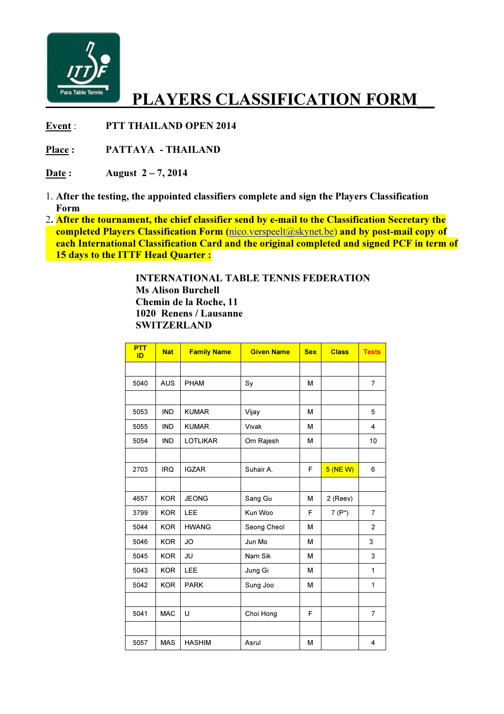

## PLAYERS CLASSIFICATION FORM

Event : PTT THAILAND OPEN 2014

Place : PATTAYA - THAILAND

Date: August  $2-7$ , 2014

- 1. After the testing, the appointed classifiers complete and sign the Players Classification Form
- 2. After the tournament, the chief classifier send by e-mail to the Classification Secretary the completed Players Classification Form (nico.verspeelt@skynet.be) and by post-mail copy of each International Classification Card and the original completed and signed PCF in term of 15 days to the ITTF Head Quarter :

 INTERNATIONAL TABLE TENNIS FEDERATION Ms Alison Burchell Chemin de la Roche, 11 1020 Renens / Lausanne **SWITZERLAND** 

| <b>PTT</b><br>ID | <b>Nat</b> | <b>Family Name</b> | <b>Given Name</b> | <b>Sex</b> | <b>Class</b> | <b>Tests</b>   |
|------------------|------------|--------------------|-------------------|------------|--------------|----------------|
|                  |            |                    |                   |            |              |                |
| 5040             | <b>AUS</b> | <b>PHAM</b>        | Sy                | м          |              | $\overline{7}$ |
|                  |            |                    |                   |            |              |                |
| 5053             | <b>IND</b> | <b>KUMAR</b>       | Vijay             | M          |              | 5              |
| 5055             | <b>IND</b> | <b>KUMAR</b>       | Vivak             | М          |              | 4              |
| 5054             | <b>IND</b> | <b>LOTLIKAR</b>    | Om Rajesh         | M          |              | 10             |
|                  |            |                    |                   |            |              |                |
| 2703             | <b>IRQ</b> | <b>IGZAR</b>       | Suhair A.         | F          | 5 (NEW)      | 6              |
|                  |            |                    |                   |            |              |                |
| 4657             | <b>KOR</b> | <b>JEONG</b>       | Sang Gu           | м          | 2 (Reev)     |                |
| 3799             | <b>KOR</b> | LEE                | Kun Woo           | F          | $7(P^*)$     | $\overline{7}$ |
| 5044             | <b>KOR</b> | <b>HWANG</b>       | Seong Cheol       | M          |              | $\overline{2}$ |
| 5046             | <b>KOR</b> | JO                 | Jun Mo            | М          |              | 3              |
| 5045             | <b>KOR</b> | JU                 | Nam Sik           | M          |              | 3              |
| 5043             | <b>KOR</b> | <b>LEE</b>         | Jung Gi           | м          |              | 1              |
| 5042             | <b>KOR</b> | <b>PARK</b>        | Sung Joo          | М          |              | 1              |
|                  |            |                    |                   |            |              |                |
| 5041             | <b>MAC</b> | U                  | Choi Hong         | F          |              | $\overline{7}$ |
|                  |            |                    |                   |            |              |                |
| 5057             | <b>MAS</b> | <b>HASHIM</b>      | Asrul             | М          |              | 4              |